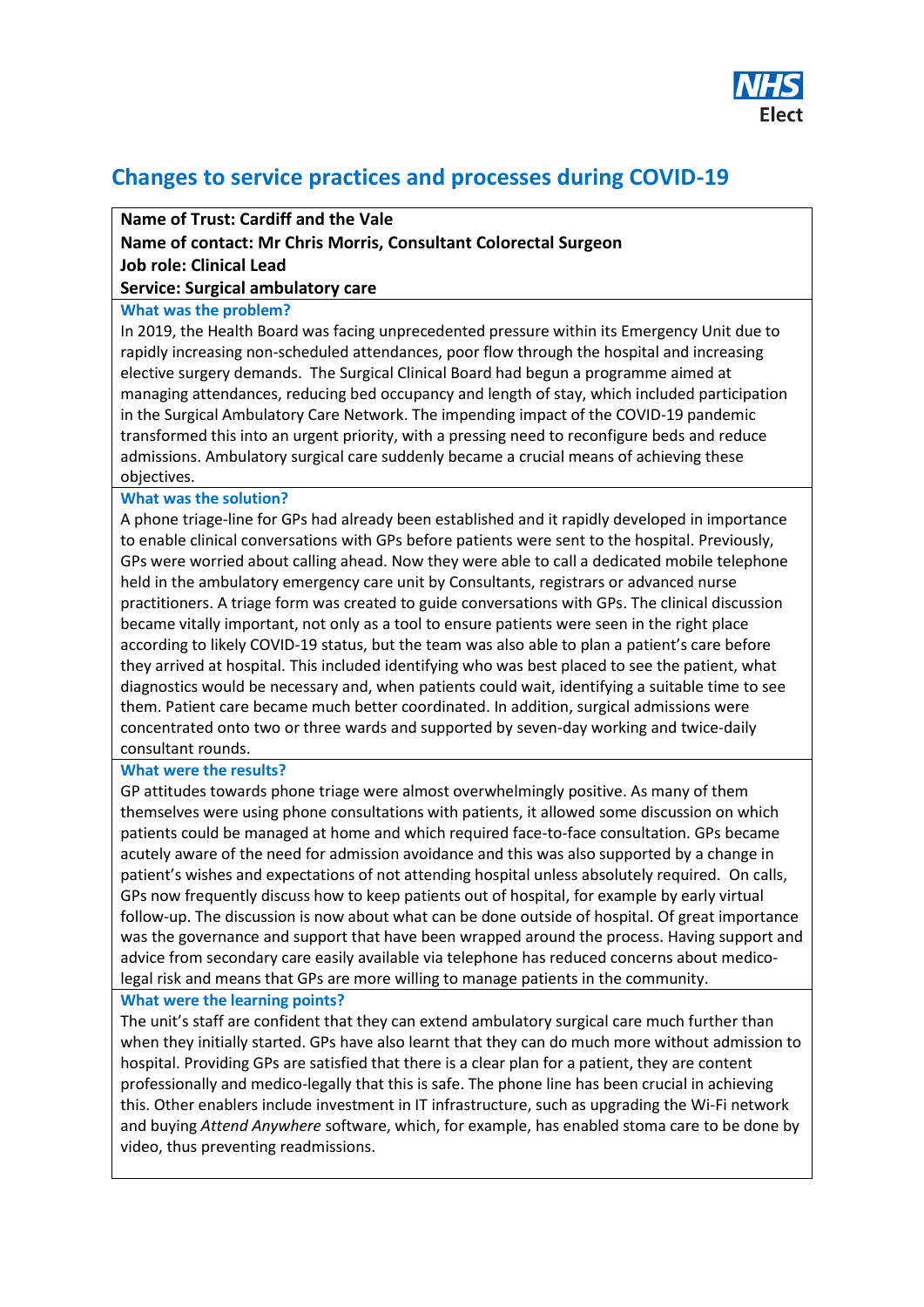

# **Changes to service practices and processes during COVID-19**

### **Name of Trust: Cardiff and the Vale**

## **Name of contact: Mr Chris Morris, Consultant Colorectal Surgeon Job role: Clinical Lead**

#### **Service: Surgical ambulatory care**

#### **What was the problem?**

In 2019, the Health Board was facing unprecedented pressure within its Emergency Unit due to rapidly increasing non-scheduled attendances, poor flow through the hospital and increasing elective surgery demands. The Surgical Clinical Board had begun a programme aimed at managing attendances, reducing bed occupancy and length of stay, which included participation in the Surgical Ambulatory Care Network. The impending impact of the COVID-19 pandemic transformed this into an urgent priority, with a pressing need to reconfigure beds and reduce admissions. Ambulatory surgical care suddenly became a crucial means of achieving these objectives.

#### **What was the solution?**

A phone triage-line for GPs had already been established and it rapidly developed in importance to enable clinical conversations with GPs before patients were sent to the hospital. Previously, GPs were worried about calling ahead. Now they were able to call a dedicated mobile telephone held in the ambulatory emergency care unit by Consultants, registrars or advanced nurse practitioners. A triage form was created to guide conversations with GPs. The clinical discussion became vitally important, not only as a tool to ensure patients were seen in the right place according to likely COVID-19 status, but the team was also able to plan a patient's care before they arrived at hospital. This included identifying who was best placed to see the patient, what diagnostics would be necessary and, when patients could wait, identifying a suitable time to see them. Patient care became much better coordinated. In addition, surgical admissions were concentrated onto two or three wards and supported by seven-day working and twice-daily consultant rounds.

#### **What were the results?**

GP attitudes towards phone triage were almost overwhelmingly positive. As many of them themselves were using phone consultations with patients, it allowed some discussion on which patients could be managed at home and which required face-to-face consultation. GPs became acutely aware of the need for admission avoidance and this was also supported by a change in patient's wishes and expectations of not attending hospital unless absolutely required. On calls, GPs now frequently discuss how to keep patients out of hospital, for example by early virtual follow-up. The discussion is now about what can be done outside of hospital. Of great importance was the governance and support that have been wrapped around the process. Having support and advice from secondary care easily available via telephone has reduced concerns about medicolegal risk and means that GPs are more willing to manage patients in the community.

#### **What were the learning points?**

The unit's staff are confident that they can extend ambulatory surgical care much further than when they initially started. GPs have also learnt that they can do much more without admission to hospital. Providing GPs are satisfied that there is a clear plan for a patient, they are content professionally and medico-legally that this is safe. The phone line has been crucial in achieving this. Other enablers include investment in IT infrastructure, such as upgrading the Wi-Fi network and buying *Attend Anywhere* software, which, for example, has enabled stoma care to be done by video, thus preventing readmissions.